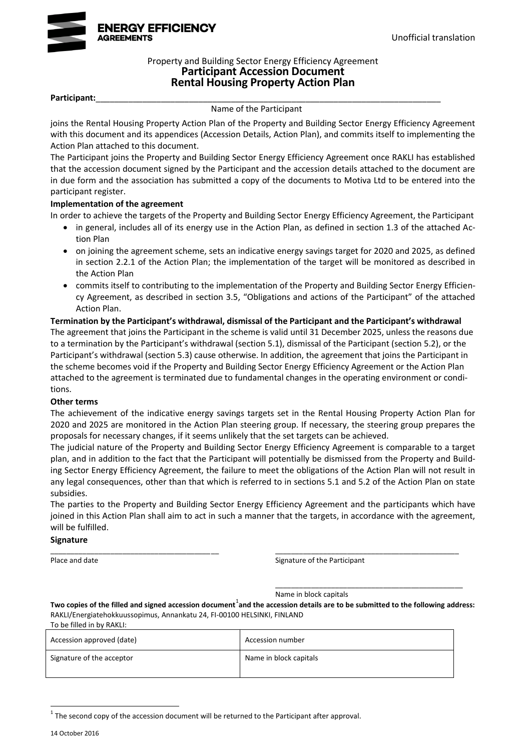

### Property and Building Sector Energy Efficiency Agreement **Participant Accession Document Rental Housing Property Action Plan**

#### **Participant:**\_\_\_\_\_\_\_\_\_\_\_\_\_\_\_\_\_\_\_\_\_\_\_\_\_\_\_\_\_\_\_\_\_\_\_\_\_\_\_\_\_\_\_\_\_\_\_\_\_\_\_\_\_\_\_\_\_\_\_\_\_\_\_\_\_\_\_\_\_\_\_\_\_\_

#### Name of the Participant

joins the Rental Housing Property Action Plan of the Property and Building Sector Energy Efficiency Agreement with this document and its appendices (Accession Details, Action Plan), and commits itself to implementing the Action Plan attached to this document.

The Participant joins the Property and Building Sector Energy Efficiency Agreement once RAKLI has established that the accession document signed by the Participant and the accession details attached to the document are in due form and the association has submitted a copy of the documents to Motiva Ltd to be entered into the participant register.

#### **Implementation of the agreement**

In order to achieve the targets of the Property and Building Sector Energy Efficiency Agreement, the Participant

- in general, includes all of its energy use in the Action Plan, as defined in section 1.3 of the attached Action Plan
- on joining the agreement scheme, sets an indicative energy savings target for 2020 and 2025, as defined in section 2.2.1 of the Action Plan; the implementation of the target will be monitored as described in the Action Plan
- commits itself to contributing to the implementation of the Property and Building Sector Energy Efficiency Agreement, as described in section 3.5, "Obligations and actions of the Participant" of the attached Action Plan.

#### **Termination by the Participant's withdrawal, dismissal of the Participant and the Participant's withdrawal**

The agreement that joins the Participant in the scheme is valid until 31 December 2025, unless the reasons due to a termination by the Participant's withdrawal (section 5.1), dismissal of the Participant (section 5.2), or the Participant's withdrawal (section 5.3) cause otherwise. In addition, the agreement that joins the Participant in the scheme becomes void if the Property and Building Sector Energy Efficiency Agreement or the Action Plan attached to the agreement is terminated due to fundamental changes in the operating environment or conditions.

#### **Other terms**

The achievement of the indicative energy savings targets set in the Rental Housing Property Action Plan for 2020 and 2025 are monitored in the Action Plan steering group. If necessary, the steering group prepares the proposals for necessary changes, if it seems unlikely that the set targets can be achieved.

The judicial nature of the Property and Building Sector Energy Efficiency Agreement is comparable to a target plan, and in addition to the fact that the Participant will potentially be dismissed from the Property and Building Sector Energy Efficiency Agreement, the failure to meet the obligations of the Action Plan will not result in any legal consequences, other than that which is referred to in sections 5.1 and 5.2 of the Action Plan on state subsidies.

The parties to the Property and Building Sector Energy Efficiency Agreement and the participants which have joined in this Action Plan shall aim to act in such a manner that the targets, in accordance with the agreement, will be fulfilled.

\_\_\_\_\_\_\_\_\_\_\_\_\_\_\_\_\_\_\_\_\_\_\_\_\_\_\_\_\_\_\_\_\_\_\_\_\_\_\_\_\_\_ \_\_\_\_\_\_\_\_\_\_\_\_\_\_\_\_\_\_\_\_\_\_\_\_\_\_\_\_\_\_\_\_\_\_\_\_\_\_\_\_\_\_\_\_\_\_

#### **Signature**

Place and date **Signature of the Participant** Place and date

\_\_\_\_\_\_\_\_\_\_\_\_\_\_\_\_\_\_\_\_\_\_\_\_\_\_\_\_\_\_\_\_\_\_\_\_\_\_\_\_\_\_\_\_\_\_\_

Name in block capitals

Two copies of the filled and signed accession document<sup>1</sup>and the accession details are to be submitted to the following address: RAKLI/Energiatehokkuussopimus, Annankatu 24, FI-00100 HELSINKI, FINLAND To be filled in by RAKLI:

| 19 DC 111169 111 DV 117 MILI. |                        |
|-------------------------------|------------------------|
| Accession approved (date)     | Accession number       |
| Signature of the acceptor     | Name in block capitals |

 $1$  The second copy of the accession document will be returned to the Participant after approval.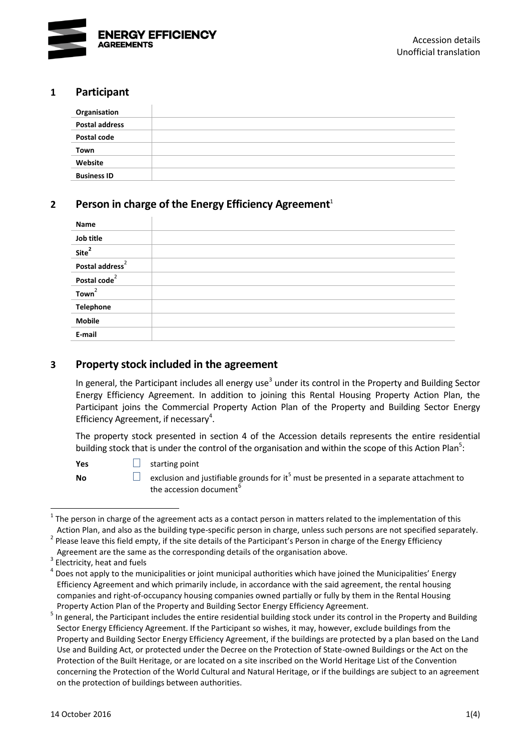

### **1 Participant**

| Organisation          |  |
|-----------------------|--|
| <b>Postal address</b> |  |
| Postal code           |  |
| Town                  |  |
| Website               |  |
| <b>Business ID</b>    |  |

# **2 Person in charge of the Energy Efficiency Agreement**<sup>1</sup>

<span id="page-2-0"></span>

| Name                        |  |
|-----------------------------|--|
| Job title                   |  |
| Site <sup>2</sup>           |  |
| Postal address <sup>2</sup> |  |
| Postal code <sup>2</sup>    |  |
| Town <sup>2</sup>           |  |
| <b>Telephone</b>            |  |
| <b>Mobile</b>               |  |
| E-mail                      |  |

## **3 Property stock included in the agreement**

In general, the Participant includes all energy use<sup>3</sup> under its control in the Property and Building Sector Energy Efficiency Agreement. In addition to joining this Rental Housing Property Action Plan, the Participant joins the Commercial Property Action Plan of the Property and Building Sector Energy Efficiency Agreement, if necessary<sup>4</sup>.

The property stock presented in section 4 of the Accession details represents the entire residential building stock that is under the control of the organisation and within the scope of this Action Plan<sup>5</sup>:

<span id="page-2-1"></span>**Yes** □ starting point

**No exclusion and jus[t](#page-2-1)ifiable grounds for it<sup>5</sup> must be presented in a separate attachment to <b>No** the accession document<sup>6</sup>

<sup>1</sup> 1 The person in charge of the agreement acts as a contact person in matters related to the implementation of this Action Plan, and also as the building type-specific person in charge, unless such persons are not specified separately.

<sup>&</sup>lt;sup>2</sup> Please leave this field empty, if the site details of the Participant's Person in charge of the Energy Efficiency

Agreement are the same as the corresponding details of the organisation above.

<sup>3</sup> Electricity, heat and fuels

<sup>4</sup> Does not apply to the municipalities or joint municipal authorities which have joined the Municipalities' Energy Efficiency Agreement and which primarily include, in accordance with the said agreement, the rental housing companies and right-of-occupancy housing companies owned partially or fully by them in the Rental Housing Property Action Plan of the Property and Building Sector Energy Efficiency Agreement.

<sup>&</sup>lt;sup>5</sup> In general, the Participant includes the entire residential building stock under its control in the Property and Building Sector Energy Efficiency Agreement. If the Participant so wishes, it may, however, exclude buildings from the Property and Building Sector Energy Efficiency Agreement, if the buildings are protected by a plan based on the Land Use and Building Act, or protected under the Decree on the Protection of State-owned Buildings or the Act on the Protection of the Built Heritage, or are located on a site inscribed on the World Heritage List of the Convention concerning the Protection of the World Cultural and Natural Heritage, or if the buildings are subject to an agreement on the protection of buildings between authorities.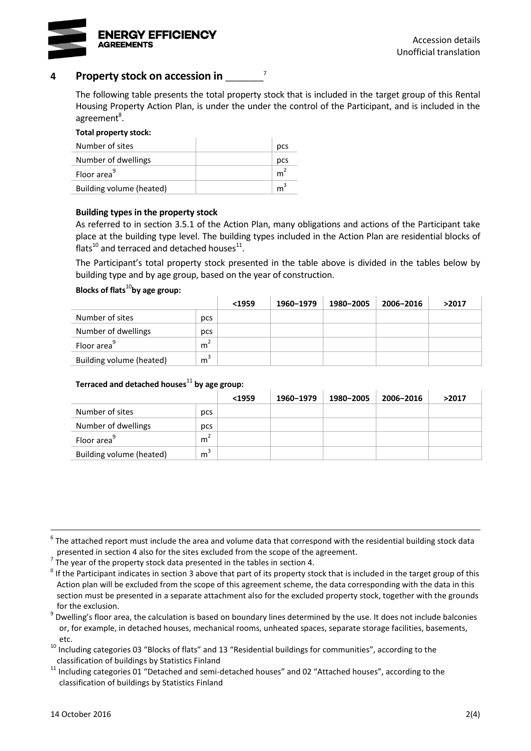

### **4 Property stock on accession in** \_\_\_\_\_\_\_\_

The following table presents the total property stock that is included in the target group of this Rental Housing Property Action Plan, is under the under the control of the Participant, and is included in the agreement<sup>8</sup>.

7

#### **Total property stock:**

<span id="page-3-1"></span>

| Number of sites          | pcs            |
|--------------------------|----------------|
| Number of dwellings      | pcs            |
| Floor area <sup>9</sup>  | $m^2$          |
| Building volume (heated) | m <sup>3</sup> |

#### **Building types in the property stock**

As referred to in section 3.5.1 of the Action Plan, many obligations and actions of the Participant take place at the building type level. The building types included in the Action Plan are residential blocks of flats<sup>10</sup> and terraced and detached houses<sup>11</sup>.

<span id="page-3-2"></span><span id="page-3-0"></span>The Participant's total property stock presented in the table above is divided in the tables below by building type and by age group, based on the year of construction.

#### **Blocks of flats**[10](#page-3-0)**by age group:**

|                          |                | $1959$ | 1960-1979 | 1980-2005 | 2006-2016 | >2017 |
|--------------------------|----------------|--------|-----------|-----------|-----------|-------|
| Number of sites          | pcs            |        |           |           |           |       |
| Number of dwellings      | pcs            |        |           |           |           |       |
| Floor area <sup>9</sup>  | m <sup>2</sup> |        |           |           |           |       |
| Building volume (heated) | m <sup>3</sup> |        |           |           |           |       |

### **Terraced and detached houses**[11](#page-3-2) **by age group:**

|                          |                | $1959$ | 1960-1979 | 1980-2005 | 2006-2016 | >2017 |
|--------------------------|----------------|--------|-----------|-----------|-----------|-------|
| Number of sites          | pcs            |        |           |           |           |       |
| Number of dwellings      | pcs            |        |           |           |           |       |
| Floor area <sup>9</sup>  | m <sup>2</sup> |        |           |           |           |       |
| Building volume (heated) | m              |        |           |           |           |       |

7 The year of the property stock data presented in the tables in section 4.

 $^6$  The attached report must include the area and volume data that correspond with the residential building stock data presented in section 4 also for the sites excluded from the scope of the agreement.

 $^8$  If the Participant indicates in section 3 above that part of its property stock that is included in the target group of this Action plan will be excluded from the scope of this agreement scheme, the data corresponding with the data in this section must be presented in a separate attachment also for the excluded property stock, together with the grounds for the exclusion.

<sup>&</sup>lt;sup>9</sup> Dwelling's floor area, the calculation is based on boundary lines determined by the use. It does not include balconies or, for example, in detached houses, mechanical rooms, unheated spaces, separate storage facilities, basements, etc.

<sup>10</sup> Including categories 03 "Blocks of flats" and 13 "Residential buildings for communities", according to the classification of buildings by Statistics Finland

 $11$  Including categories 01 "Detached and semi-detached houses" and 02 "Attached houses", according to the classification of buildings by Statistics Finland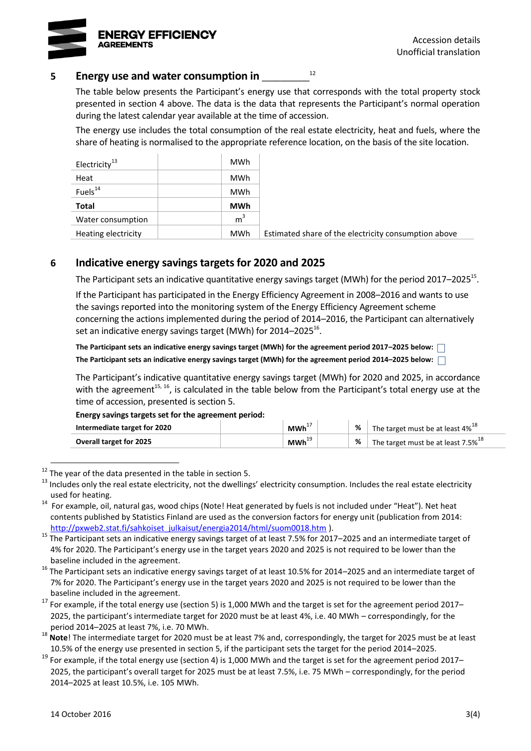

### **5 Energy use and water consumption in** \_\_\_\_\_\_\_\_\_\_

The table below presents the Participant's energy use that corresponds with the total property stock presented in section 4 above. The data is the data that represents the Participant's normal operation during the latest calendar year available at the time of accession.

<span id="page-4-2"></span><span id="page-4-0"></span>12

The energy use includes the total consumption of the real estate electricity, heat and fuels, where the share of heating is normalised to the appropriate reference location, on the basis of the site location.

| Electricity <sup>13</sup> | <b>MWh</b>     |                                                      |
|---------------------------|----------------|------------------------------------------------------|
| Heat                      | <b>MWh</b>     |                                                      |
| Fuels <sup>14</sup>       | <b>MWh</b>     |                                                      |
| <b>Total</b>              | <b>MWh</b>     |                                                      |
| Water consumption         | m <sup>3</sup> |                                                      |
| Heating electricity       | <b>MWh</b>     | Estimated share of the electricity consumption above |

### **6 Indicative energy savings targets for 2020 and 2025**

The Participant sets an indicative quantitative energy savings target (MWh) for the period 2017–2025<sup>15</sup>.

If the Participant has participated in the Energy Efficiency Agreement in 2008–2016 and wants to use the savings reported into the monitoring system of the Energy Efficiency Agreement scheme concerning the actions implemented during the period of 2014–2016, the Participant can alternatively set an indicative energy savings target (MWh) for 2014–2025 $^{16}$ .

<span id="page-4-1"></span>**The Participant sets an indicative energy savings target (MWh) for the agreement period 2017–2025 below: The Participant sets an indicative energy savings target (MWh) for the agreement period 2014–2025 below:**

The Participant's indicative quantitative energy savings target (MWh) for 2020 and 2025, in accordance with the agreement<sup>[15,](#page-4-0) [16](#page-4-1)</sup>, is calculated in the table below from the Participant's total energy use at the time of accession, presented is section 5.

#### **Energy savings targets set for the agreement period:**

| Intermediate target for 2020   | $MWh^+$ | The target must be at least $4\%^{18}$         |
|--------------------------------|---------|------------------------------------------------|
| <b>Overall target for 2025</b> | $MWh^+$ | The target must be at least 7.5% <sup>18</sup> |

 $12$  The vear of the data presented in the table in section 5.

<sup>13</sup> Includes only the real estate electricity, not the dwellings' electricity consumption. Includes the real estate electricity used for heating.

<sup>&</sup>lt;sup>14</sup> For example, oil, natural gas, wood chips (Note! Heat generated by fuels is not included under "Heat"). Net heat contents published by Statistics Finland are used as the conversion factors for energy unit (publication from 2014: [http://pxweb2.stat.fi/sahkoiset\\_julkaisut/energia2014/html/suom0018.htm](http://pxweb2.stat.fi/sahkoiset_julkaisut/energia2014/html/suom0018.htm) ).

<sup>&</sup>lt;sup>15</sup> The Participant sets an indicative energy savings target of at least 7.5% for 2017–2025 and an intermediate target of 4% for 2020. The Participant's energy use in the target years 2020 and 2025 is not required to be lower than the baseline included in the agreement.

<sup>&</sup>lt;sup>16</sup> The Participant sets an indicative energy savings target of at least 10.5% for 2014–2025 and an intermediate target of 7% for 2020. The Participant's energy use in the target years 2020 and 2025 is not required to be lower than the baseline included in the agreement.

<sup>17</sup> For example, if the total energy use (section 5) is 1,000 MWh and the target is set for the agreement period 2017– 2025, the participant's intermediate target for 2020 must be at least 4%, i.e. 40 MWh – correspondingly, for the period 2014–2025 at least 7%, i.e. 70 MWh.

<sup>&</sup>lt;sup>18</sup> Note! The intermediate target for 2020 must be at least 7% and, correspondingly, the target for 2025 must be at least 10.5% of the energy use presented in section 5, if the participant sets the target for the period 2014–2025.

 $19$  For example, if the total energy use (section 4) is 1,000 MWh and the target is set for the agreement period 2017– 2025, the participant's overall target for 2025 must be at least 7.5%, i.e. 75 MWh – correspondingly, for the period 2014–2025 at least 10.5%, i.e. 105 MWh.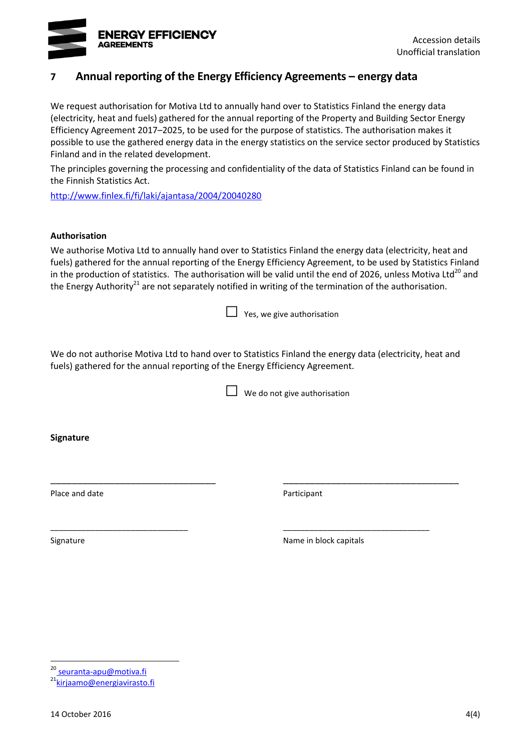

# **7 Annual reporting of the Energy Efficiency Agreements – energy data**

We request authorisation for Motiva Ltd to annually hand over to Statistics Finland the energy data (electricity, heat and fuels) gathered for the annual reporting of the Property and Building Sector Energy Efficiency Agreement 2017–2025, to be used for the purpose of statistics. The authorisation makes it possible to use the gathered energy data in the energy statistics on the service sector produced by Statistics Finland and in the related development.

The principles governing the processing and confidentiality of the data of Statistics Finland can be found in the Finnish Statistics Act.

<http://www.finlex.fi/fi/laki/ajantasa/2004/20040280>

#### **Authorisation**

We authorise Motiva Ltd to annually hand over to Statistics Finland the energy data (electricity, heat and fuels) gathered for the annual reporting of the Energy Efficiency Agreement, to be used by Statistics Finland in the production of statistics. The authorisation will be valid until the end of 2026, unless Motiva Ltd<sup>20</sup> and the Energy Authority<sup>21</sup> are not separately notified in writing of the termination of the authorisation.

 $\Box$  Yes, we give authorisation

We do not authorise Motiva Ltd to hand over to Statistics Finland the energy data (electricity, heat and fuels) gathered for the annual reporting of the Energy Efficiency Agreement.

\_\_\_\_\_\_\_\_\_\_\_\_\_\_\_\_\_\_\_\_\_\_\_\_\_\_\_\_\_\_\_ \_\_\_\_\_\_\_\_\_\_\_\_\_\_\_\_\_\_\_\_\_\_\_\_\_\_\_\_\_\_\_\_\_

\_\_\_\_\_\_\_\_\_\_\_\_\_\_\_\_\_\_\_\_\_\_\_\_\_\_\_\_\_\_\_ \_\_\_\_\_\_\_\_\_\_\_\_\_\_\_\_\_\_\_\_\_\_\_\_\_\_\_\_\_\_\_\_\_

 $\Box$  We do not give authorisation

**Signature**

Place and date **Place** and date **Participant** 

Signature **Name in block capitals** Signature **Name in block capitals** 

<sup>&</sup>lt;sup>20</sup> seuranta-apu@motiva.fi

<sup>&</sup>lt;sup>21</sup>[kirjaamo@energiavirasto.fi](mailto:kirjaamo@energiavirasto.fi)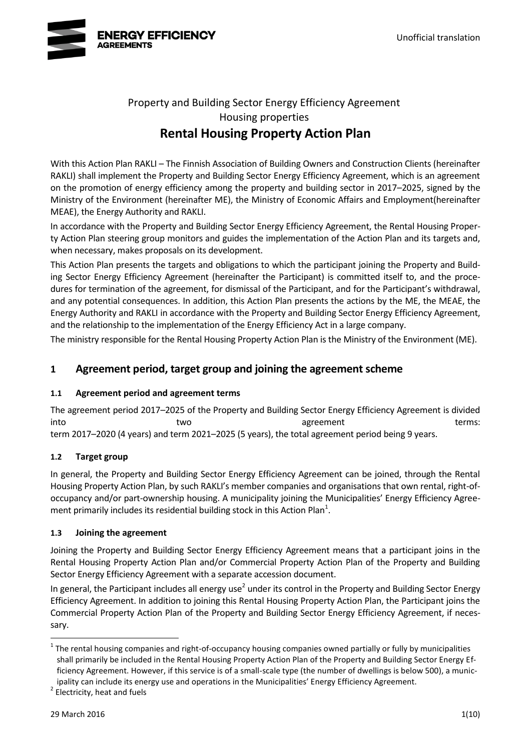

# Property and Building Sector Energy Efficiency Agreement Housing properties **Rental Housing Property Action Plan**

With this Action Plan RAKLI – The Finnish Association of Building Owners and Construction Clients (hereinafter RAKLI) shall implement the Property and Building Sector Energy Efficiency Agreement, which is an agreement on the promotion of energy efficiency among the property and building sector in 2017–2025, signed by the Ministry of the Environment (hereinafter ME), the Ministry of Economic Affairs and Employment(hereinafter MEAE), the Energy Authority and RAKLI.

In accordance with the Property and Building Sector Energy Efficiency Agreement, the Rental Housing Property Action Plan steering group monitors and guides the implementation of the Action Plan and its targets and, when necessary, makes proposals on its development.

This Action Plan presents the targets and obligations to which the participant joining the Property and Building Sector Energy Efficiency Agreement (hereinafter the Participant) is committed itself to, and the procedures for termination of the agreement, for dismissal of the Participant, and for the Participant's withdrawal, and any potential consequences. In addition, this Action Plan presents the actions by the ME, the MEAE, the Energy Authority and RAKLI in accordance with the Property and Building Sector Energy Efficiency Agreement, and the relationship to the implementation of the Energy Efficiency Act in a large company.

The ministry responsible for the Rental Housing Property Action Plan is the Ministry of the Environment (ME).

# **1 Agreement period, target group and joining the agreement scheme**

### **1.1 Agreement period and agreement terms**

The agreement period 2017–2025 of the Property and Building Sector Energy Efficiency Agreement is divided into two two agreement and terms: term 2017–2020 (4 years) and term 2021–2025 (5 years), the total agreement period being 9 years.

### **1.2 Target group**

In general, the Property and Building Sector Energy Efficiency Agreement can be joined, through the Rental Housing Property Action Plan, by such RAKLI's member companies and organisations that own rental, right-ofoccupancy and/or part-ownership housing. A municipality joining the Municipalities' Energy Efficiency Agreement primarily includes its residential building stock in this Action Plan<sup>1</sup>.

#### **1.3 Joining the agreement**

Joining the Property and Building Sector Energy Efficiency Agreement means that a participant joins in the Rental Housing Property Action Plan and/or Commercial Property Action Plan of the Property and Building Sector Energy Efficiency Agreement with a separate accession document.

<span id="page-6-0"></span>In general, the Participant includes all energy use<sup>2</sup> under its control in the Property and Building Sector Energy Efficiency Agreement. In addition to joining this Rental Housing Property Action Plan, the Participant joins the Commercial Property Action Plan of the Property and Building Sector Energy Efficiency Agreement, if necessary.

<sup>2</sup> Electricity, heat and fuels

 $1$  The rental housing companies and right-of-occupancy housing companies owned partially or fully by municipalities shall primarily be included in the Rental Housing Property Action Plan of the Property and Building Sector Energy Efficiency Agreement. However, if this service is of a small-scale type (the number of dwellings is below 500), a municipality can include its energy use and operations in the Municipalities' Energy Efficiency Agreement.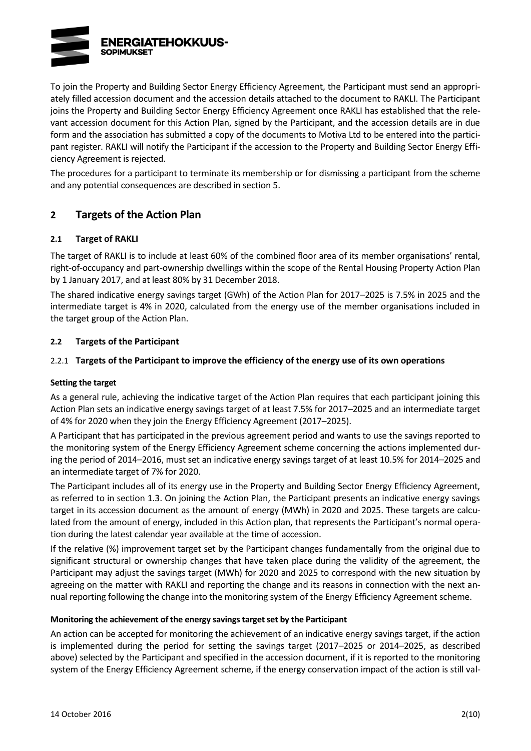

To join the Property and Building Sector Energy Efficiency Agreement, the Participant must send an appropriately filled accession document and the accession details attached to the document to RAKLI. The Participant joins the Property and Building Sector Energy Efficiency Agreement once RAKLI has established that the relevant accession document for this Action Plan, signed by the Participant, and the accession details are in due form and the association has submitted a copy of the documents to Motiva Ltd to be entered into the participant register. RAKLI will notify the Participant if the accession to the Property and Building Sector Energy Efficiency Agreement is rejected.

The procedures for a participant to terminate its membership or for dismissing a participant from the scheme and any potential consequences are described in section 5.

# **2 Targets of the Action Plan**

#### **2.1 Target of RAKLI**

The target of RAKLI is to include at least 60% of the combined floor area of its member organisations' rental, right-of-occupancy and part-ownership dwellings within the scope of the Rental Housing Property Action Plan by 1 January 2017, and at least 80% by 31 December 2018.

The shared indicative energy savings target (GWh) of the Action Plan for 2017–2025 is 7.5% in 2025 and the intermediate target is 4% in 2020, calculated from the energy use of the member organisations included in the target group of the Action Plan.

#### **2.2 Targets of the Participant**

### 2.2.1 **Targets of the Participant to improve the efficiency of the energy use of its own operations**

#### **Setting the target**

As a general rule, achieving the indicative target of the Action Plan requires that each participant joining this Action Plan sets an indicative energy savings target of at least 7.5% for 2017–2025 and an intermediate target of 4% for 2020 when they join the Energy Efficiency Agreement (2017–2025).

A Participant that has participated in the previous agreement period and wants to use the savings reported to the monitoring system of the Energy Efficiency Agreement scheme concerning the actions implemented during the period of 2014–2016, must set an indicative energy savings target of at least 10.5% for 2014–2025 and an intermediate target of 7% for 2020.

The Participant includes all of its energy use in the Property and Building Sector Energy Efficiency Agreement, as referred to in section 1.3. On joining the Action Plan, the Participant presents an indicative energy savings target in its accession document as the amount of energy (MWh) in 2020 and 2025. These targets are calculated from the amount of energy, included in this Action plan, that represents the Participant's normal operation during the latest calendar year available at the time of accession.

If the relative (%) improvement target set by the Participant changes fundamentally from the original due to significant structural or ownership changes that have taken place during the validity of the agreement, the Participant may adjust the savings target (MWh) for 2020 and 2025 to correspond with the new situation by agreeing on the matter with RAKLI and reporting the change and its reasons in connection with the next annual reporting following the change into the monitoring system of the Energy Efficiency Agreement scheme.

#### **Monitoring the achievement of the energy savings target set by the Participant**

An action can be accepted for monitoring the achievement of an indicative energy savings target, if the action is implemented during the period for setting the savings target (2017–2025 or 2014–2025, as described above) selected by the Participant and specified in the accession document, if it is reported to the monitoring system of the Energy Efficiency Agreement scheme, if the energy conservation impact of the action is still val-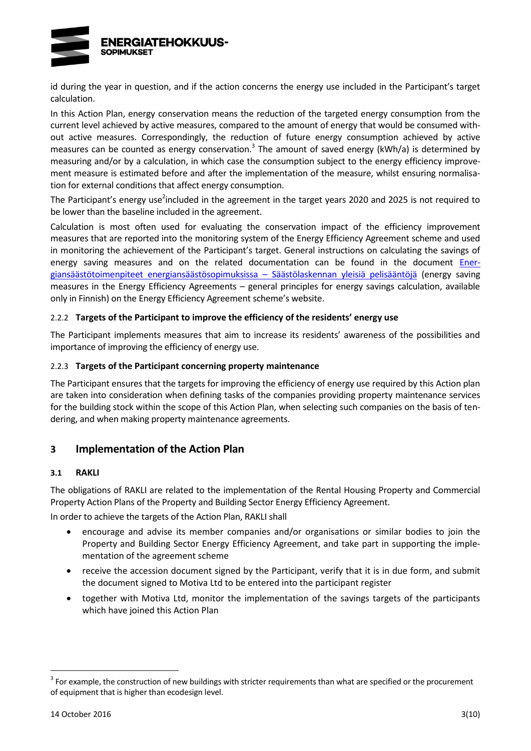

id during the year in question, and if the action concerns the energy use included in the Participant's target calculation.

In this Action Plan, energy conservation means the reduction of the targeted energy consumption from the current level achieved by active measures, compared to the amount of energy that would be consumed without active measures. Correspondingly, the reduction of future energy consumption achieved by active measures can be counted as energy conservation.<sup>3</sup> The amount of saved energy (kWh/a) is determined by measuring and/or by a calculation, in which case the consumption subject to the energy efficiency improvement measure is estimated before and after the implementation of the measure, whilst ensuring normalisation for external conditions that affect energy consumption.

The Participant's energy use<sup>2</sup>[in](#page-6-0)cluded in the agreement in the target years 2020 and 2025 is not required to be lower than the baseline included in the agreement.

Calculation is most often used for evaluating the conservation impact of the efficiency improvement measures that are reported into the monitoring system of the Energy Efficiency Agreement scheme and used in monitoring the achievement of the Participant's target. General instructions on calculating the savings of energy saving measures and on the related documentation can be found in the document [Ener](http://www.energiatehokkuussopimukset.fi/fi/tietoa_sopimuksista/sopimustoiminnan_kulmakivet/seuranta_ja_raportointi/saastojen_laskenta/)[giansäästötoimenpiteet energiansäästösopimuksissa](http://www.energiatehokkuussopimukset.fi/fi/tietoa_sopimuksista/sopimustoiminnan_kulmakivet/seuranta_ja_raportointi/saastojen_laskenta/) – Säästölaskennan yleisiä pelisääntöjä (energy saving measures in the Energy Efficiency Agreements – general principles for energy savings calculation, available only in Finnish) on the Energy Efficiency Agreement scheme's website.

#### 2.2.2 **Targets of the Participant to improve the efficiency of the residents' energy use**

The Participant implements measures that aim to increase its residents' awareness of the possibilities and importance of improving the efficiency of energy use.

#### 2.2.3 **Targets of the Participant concerning property maintenance**

The Participant ensures that the targets for improving the efficiency of energy use required by this Action plan are taken into consideration when defining tasks of the companies providing property maintenance services for the building stock within the scope of this Action Plan, when selecting such companies on the basis of tendering, and when making property maintenance agreements.

### **3 Implementation of the Action Plan**

#### **3.1 RAKLI**

The obligations of RAKLI are related to the implementation of the Rental Housing Property and Commercial Property Action Plans of the Property and Building Sector Energy Efficiency Agreement.

In order to achieve the targets of the Action Plan, RAKLI shall

- encourage and advise its member companies and/or organisations or similar bodies to join the Property and Building Sector Energy Efficiency Agreement, and take part in supporting the implementation of the agreement scheme
- receive the accession document signed by the Participant, verify that it is in due form, and submit the document signed to Motiva Ltd to be entered into the participant register
- together with Motiva Ltd, monitor the implementation of the savings targets of the participants which have joined this Action Plan

 $3$  For example, the construction of new buildings with stricter requirements than what are specified or the procurement of equipment that is higher than ecodesign level.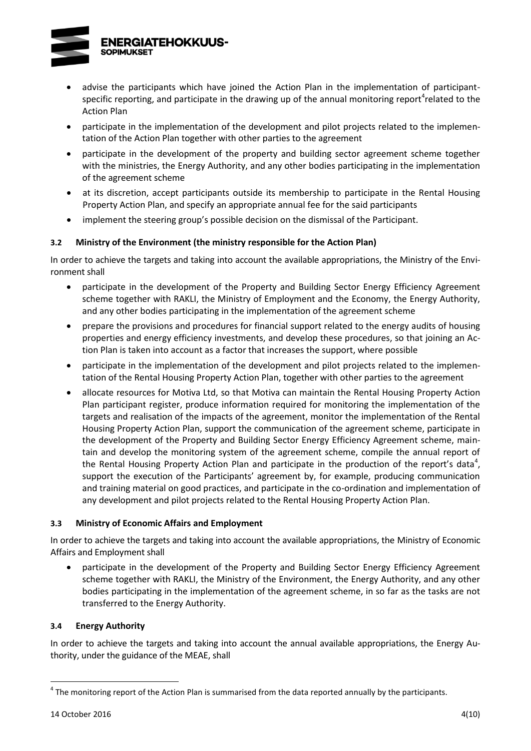

- <span id="page-9-0"></span> advise the participants which have joined the Action Plan in the implementation of participantspecific reporting, and participate in the drawing up of the annual monitoring report<sup>4</sup>related to the Action Plan
- participate in the implementation of the development and pilot projects related to the implementation of the Action Plan together with other parties to the agreement
- participate in the development of the property and building sector agreement scheme together with the ministries, the Energy Authority, and any other bodies participating in the implementation of the agreement scheme
- at its discretion, accept participants outside its membership to participate in the Rental Housing Property Action Plan, and specify an appropriate annual fee for the said participants
- implement the steering group's possible decision on the dismissal of the Participant.

### **3.2 Ministry of the Environment (the ministry responsible for the Action Plan)**

In order to achieve the targets and taking into account the available appropriations, the Ministry of the Environment shall

- participate in the development of the Property and Building Sector Energy Efficiency Agreement scheme together with RAKLI, the Ministry of Employment and the Economy, the Energy Authority, and any other bodies participating in the implementation of the agreement scheme
- prepare the provisions and procedures for financial support related to the energy audits of housing properties and energy efficiency investments, and develop these procedures, so that joining an Action Plan is taken into account as a factor that increases the support, where possible
- participate in the implementation of the development and pilot projects related to the implementation of the Rental Housing Property Action Plan, together with other parties to the agreement
- allocate resources for Motiva Ltd, so that Motiva can maintain the Rental Housing Property Action Plan participant register, produce information required for monitoring the implementation of the targets and realisation of the impacts of the agreement, monitor the implementation of the Rental Housing Property Action Plan, support the communication of the agreement scheme, participate in the development of the Property and Building Sector Energy Efficiency Agreement scheme, maintain and develop the monitoring system of the agreement scheme, compile the annual report of the Rent[a](#page-9-0)l Housing Property Action Plan and participate in the production of the report's data<sup>4</sup>, support the execution of the Participants' agreement by, for example, producing communication and training material on good practices, and participate in the co-ordination and implementation of any development and pilot projects related to the Rental Housing Property Action Plan.

### **3.3 Ministry of Economic Affairs and Employment**

In order to achieve the targets and taking into account the available appropriations, the Ministry of Economic Affairs and Employment shall

 participate in the development of the Property and Building Sector Energy Efficiency Agreement scheme together with RAKLI, the Ministry of the Environment, the Energy Authority, and any other bodies participating in the implementation of the agreement scheme, in so far as the tasks are not transferred to the Energy Authority.

### **3.4 Energy Authority**

In order to achieve the targets and taking into account the annual available appropriations, the Energy Authority, under the guidance of the MEAE, shall

 $<sup>4</sup>$  The monitoring report of the Action Plan is summarised from the data reported annually by the participants.</sup>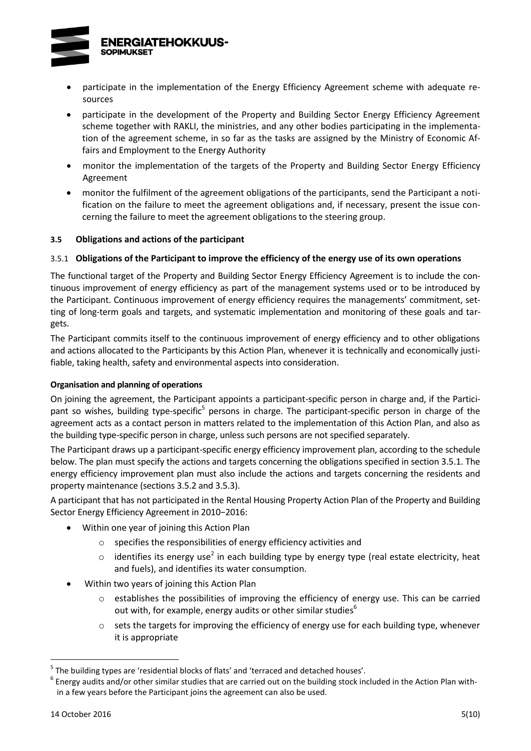

- participate in the implementation of the Energy Efficiency Agreement scheme with adequate resources
- participate in the development of the Property and Building Sector Energy Efficiency Agreement scheme together with RAKLI, the ministries, and any other bodies participating in the implementation of the agreement scheme, in so far as the tasks are assigned by the Ministry of Economic Affairs and Employment to the Energy Authority
- monitor the implementation of the targets of the Property and Building Sector Energy Efficiency Agreement
- monitor the fulfilment of the agreement obligations of the participants, send the Participant a notification on the failure to meet the agreement obligations and, if necessary, present the issue concerning the failure to meet the agreement obligations to the steering group.

### **3.5 Obligations and actions of the participant**

### 3.5.1 **Obligations of the Participant to improve the efficiency of the energy use of its own operations**

The functional target of the Property and Building Sector Energy Efficiency Agreement is to include the continuous improvement of energy efficiency as part of the management systems used or to be introduced by the Participant. Continuous improvement of energy efficiency requires the managements' commitment, setting of long-term goals and targets, and systematic implementation and monitoring of these goals and targets.

The Participant commits itself to the continuous improvement of energy efficiency and to other obligations and actions allocated to the Participants by this Action Plan, whenever it is technically and economically justifiable, taking health, safety and environmental aspects into consideration.

#### **Organisation and planning of operations**

<span id="page-10-0"></span>On joining the agreement, the Participant appoints a participant-specific person in charge and, if the Participant so wishes, building type-specific<sup>5</sup> persons in charge. The participant-specific person in charge of the agreement acts as a contact person in matters related to the implementation of this Action Plan, and also as the building type-specific person in charge, unless such persons are not specified separately.

The Participant draws up a participant-specific energy efficiency improvement plan, according to the schedule below. The plan must specify the actions and targets concerning the obligations specified in section 3.5.1. The energy efficiency improvement plan must also include the actions and targets concerning the residents and property maintenance (sections 3.5.2 and 3.5.3).

A participant that has not participated in the Rental Housing Property Action Plan of the Property and Building Sector Energy Efficiency Agreement in 2010−2016:

- Within one year of joining this Action Plan
	- o specifies the responsibilities of energy efficiency activities and
	- $\circ$  id[e](#page-6-0)ntifies its energy use<sup>2</sup> in each building type by energy type (real estate electricity, heat and fuels), and identifies its water consumption.
- Within two years of joining this Action Plan
	- o establishes the possibilities of improving the efficiency of energy use. This can be carried out with, for example, energy audits or other similar studies<sup>6</sup>
	- $\circ$  sets the targets for improving the efficiency of energy use for each building type, whenever it is appropriate

<sup>&</sup>lt;sup>5</sup> The building types are 'residential blocks of flats' and 'terraced and detached houses'.

 $^6$  Energy audits and/or other similar studies that are carried out on the building stock included in the Action Plan within a few years before the Participant joins the agreement can also be used.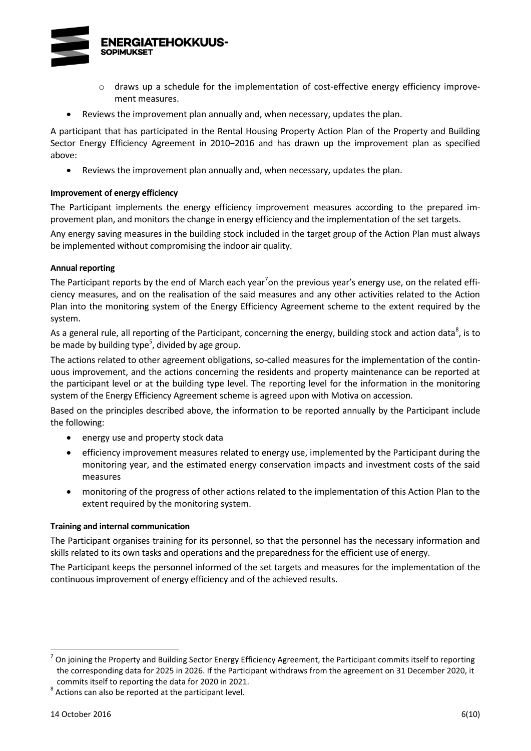

- $\circ$  draws up a schedule for the implementation of cost-effective energy efficiency improvement measures.
- Reviews the improvement plan annually and, when necessary, updates the plan.

A participant that has participated in the Rental Housing Property Action Plan of the Property and Building Sector Energy Efficiency Agreement in 2010−2016 and has drawn up the improvement plan as specified above:

Reviews the improvement plan annually and, when necessary, updates the plan.

#### **Improvement of energy efficiency**

The Participant implements the energy efficiency improvement measures according to the prepared improvement plan, and monitors the change in energy efficiency and the implementation of the set targets.

Any energy saving measures in the building stock included in the target group of the Action Plan must always be implemented without compromising the indoor air quality.

#### **Annual reporting**

<span id="page-11-0"></span>The Participant reports by the end of March each year<sup>7</sup>on the previous year's energy use, on the related efficiency measures, and on the realisation of the said measures and any other activities related to the Action Plan into the monitoring system of the Energy Efficiency Agreement scheme to the extent required by the system.

As a general rule, all reporting of the Participant, concerning the energy, building stock and action data<sup>8</sup>, is to b[e](#page-10-0) made by building type<sup>5</sup>, divided by age group.

The actions related to other agreement obligations, so-called measures for the implementation of the continuous improvement, and the actions concerning the residents and property maintenance can be reported at the participant level or at the building type level. The reporting level for the information in the monitoring system of the Energy Efficiency Agreement scheme is agreed upon with Motiva on accession.

Based on the principles described above, the information to be reported annually by the Participant include the following:

- energy use and property stock data
- efficiency improvement measures related to energy use, implemented by the Participant during the monitoring year, and the estimated energy conservation impacts and investment costs of the said measures
- monitoring of the progress of other actions related to the implementation of this Action Plan to the extent required by the monitoring system.

#### **Training and internal communication**

The Participant organises training for its personnel, so that the personnel has the necessary information and skills related to its own tasks and operations and the preparedness for the efficient use of energy.

The Participant keeps the personnel informed of the set targets and measures for the implementation of the continuous improvement of energy efficiency and of the achieved results.

<sup>7</sup> On joining the Property and Building Sector Energy Efficiency Agreement, the Participant commits itself to reporting the corresponding data for 2025 in 2026. If the Participant withdraws from the agreement on 31 December 2020, it commits itself to reporting the data for 2020 in 2021.

 $8$  Actions can also be reported at the participant level.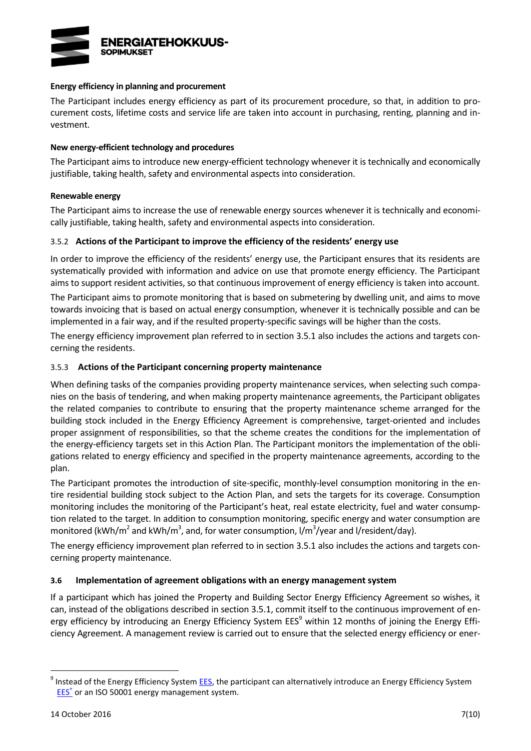

#### **Energy efficiency in planning and procurement**

The Participant includes energy efficiency as part of its procurement procedure, so that, in addition to procurement costs, lifetime costs and service life are taken into account in purchasing, renting, planning and investment.

#### **New energy-efficient technology and procedures**

The Participant aims to introduce new energy-efficient technology whenever it is technically and economically justifiable, taking health, safety and environmental aspects into consideration.

#### **Renewable energy**

The Participant aims to increase the use of renewable energy sources whenever it is technically and economically justifiable, taking health, safety and environmental aspects into consideration.

#### 3.5.2 **Actions of the Participant to improve the efficiency of the residents' energy use**

In order to improve the efficiency of the residents' energy use, the Participant ensures that its residents are systematically provided with information and advice on use that promote energy efficiency. The Participant aims to support resident activities, so that continuous improvement of energy efficiency is taken into account.

The Participant aims to promote monitoring that is based on submetering by dwelling unit, and aims to move towards invoicing that is based on actual energy consumption, whenever it is technically possible and can be implemented in a fair way, and if the resulted property-specific savings will be higher than the costs.

The energy efficiency improvement plan referred to in section 3.5.1 also includes the actions and targets concerning the residents.

### 3.5.3 **Actions of the Participant concerning property maintenance**

When defining tasks of the companies providing property maintenance services, when selecting such companies on the basis of tendering, and when making property maintenance agreements, the Participant obligates the related companies to contribute to ensuring that the property maintenance scheme arranged for the building stock included in the Energy Efficiency Agreement is comprehensive, target-oriented and includes proper assignment of responsibilities, so that the scheme creates the conditions for the implementation of the energy-efficiency targets set in this Action Plan. The Participant monitors the implementation of the obligations related to energy efficiency and specified in the property maintenance agreements, according to the plan.

The Participant promotes the introduction of site-specific, monthly-level consumption monitoring in the entire residential building stock subject to the Action Plan, and sets the targets for its coverage. Consumption monitoring includes the monitoring of the Participant's heat, real estate electricity, fuel and water consumption related to the target. In addition to consumption monitoring, specific energy and water consumption are monitored (kWh/m<sup>2</sup> and kWh/m<sup>3</sup>, and, for water consumption, l/m<sup>3</sup>/year and l/resident/day).

The energy efficiency improvement plan referred to in section 3.5.1 also includes the actions and targets concerning property maintenance.

#### **3.6 Implementation of agreement obligations with an energy management system**

If a participant which has joined the Property and Building Sector Energy Efficiency Agreement so wishes, it can, instead of the obligations described in section 3.5.1, commit itself to the continuous improvement of energy efficiency by introducing an Energy Efficiency System EES<sup>9</sup> within 12 months of joining the Energy Efficiency Agreement. A management review is carried out to ensure that the selected energy efficiency or ener-

<sup>&</sup>lt;sup>9</sup> Instead of the Energy Efficiency Syste[m EES,](http://www.energiatehokkuussopimukset.fi/fi/tietoa_sopimuksista/sopimustoiminnan_kulmakivet/jatkuva_parantaminen/energiatehokkuusjarjestelma/) the participant can alternatively introduce an Energy Efficiency System [EES](http://motiva.fi/toimialueet/energiakatselmustoiminta/pakollinen_suuren_yrityksen_energiakatselmus/energiatehokkuusjarjestelma_etj)<sup>+</sup> or an ISO 50001 energy management system.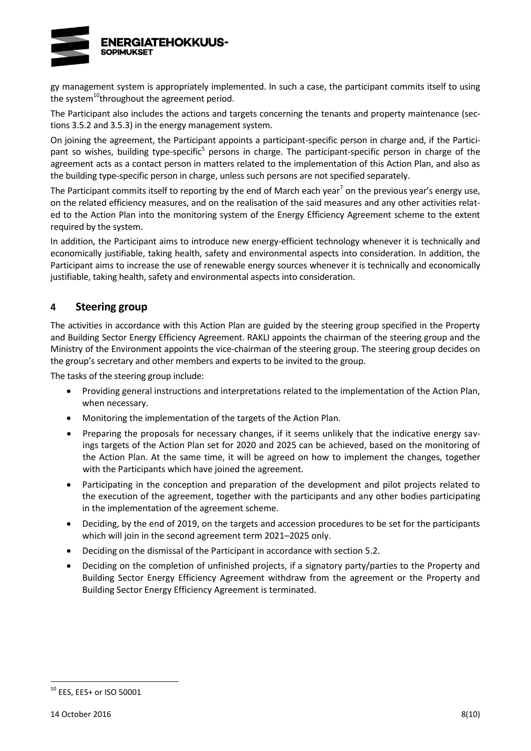

gy management system is appropriately implemented. In such a case, the participant commits itself to using the system<sup>10</sup>throughout the agreement period.

The Participant also includes the actions and targets concerning the tenants and property maintenance (sections 3.5.2 and 3.5.3) in the energy management system.

On joining the agreement, the Participant appoints a participant-specific person in charge and, if the Participant so wishes, building type-spe[c](#page-10-0)ific<sup>5</sup> persons in charge. The participant-specific person in charge of the agreement acts as a contact person in matters related to the implementation of this Action Plan, and also as the building type-specific person in charge, unless such persons are not specified separately.

The Pa[r](#page-11-0)ticipant commits itself to reporting by the end of March each year<sup>7</sup> on the previous year's energy use, on the related efficiency measures, and on the realisation of the said measures and any other activities related to the Action Plan into the monitoring system of the Energy Efficiency Agreement scheme to the extent required by the system.

In addition, the Participant aims to introduce new energy-efficient technology whenever it is technically and economically justifiable, taking health, safety and environmental aspects into consideration. In addition, the Participant aims to increase the use of renewable energy sources whenever it is technically and economically justifiable, taking health, safety and environmental aspects into consideration.

# **4 Steering group**

The activities in accordance with this Action Plan are guided by the steering group specified in the Property and Building Sector Energy Efficiency Agreement. RAKLI appoints the chairman of the steering group and the Ministry of the Environment appoints the vice-chairman of the steering group. The steering group decides on the group's secretary and other members and experts to be invited to the group.

The tasks of the steering group include:

- Providing general instructions and interpretations related to the implementation of the Action Plan, when necessary.
- Monitoring the implementation of the targets of the Action Plan.
- Preparing the proposals for necessary changes, if it seems unlikely that the indicative energy savings targets of the Action Plan set for 2020 and 2025 can be achieved, based on the monitoring of the Action Plan. At the same time, it will be agreed on how to implement the changes, together with the Participants which have joined the agreement.
- Participating in the conception and preparation of the development and pilot projects related to the execution of the agreement, together with the participants and any other bodies participating in the implementation of the agreement scheme.
- Deciding, by the end of 2019, on the targets and accession procedures to be set for the participants which will join in the second agreement term 2021–2025 only.
- Deciding on the dismissal of the Participant in accordance with section 5.2.
- Deciding on the completion of unfinished projects, if a signatory party/parties to the Property and Building Sector Energy Efficiency Agreement withdraw from the agreement or the Property and Building Sector Energy Efficiency Agreement is terminated.

<sup>10</sup> EES, EES+ or ISO 50001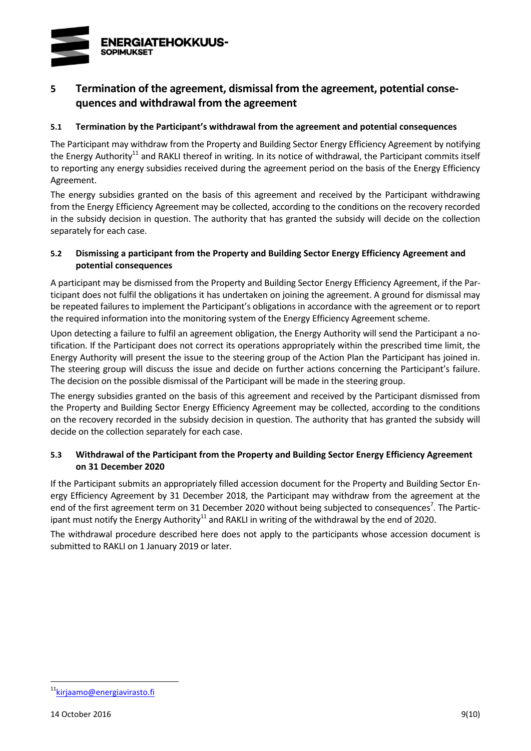

# **5 Termination of the agreement, dismissal from the agreement, potential consequences and withdrawal from the agreement**

### **5.1 Termination by the Participant's withdrawal from the agreement and potential consequences**

<span id="page-14-0"></span>The Participant may withdraw from the Property and Building Sector Energy Efficiency Agreement by notifying the Energy Authority<sup>11</sup> and RAKLI thereof in writing. In its notice of withdrawal, the Participant commits itself to reporting any energy subsidies received during the agreement period on the basis of the Energy Efficiency Agreement.

The energy subsidies granted on the basis of this agreement and received by the Participant withdrawing from the Energy Efficiency Agreement may be collected, according to the conditions on the recovery recorded in the subsidy decision in question. The authority that has granted the subsidy will decide on the collection separately for each case.

### **5.2 Dismissing a participant from the Property and Building Sector Energy Efficiency Agreement and potential consequences**

A participant may be dismissed from the Property and Building Sector Energy Efficiency Agreement, if the Participant does not fulfil the obligations it has undertaken on joining the agreement. A ground for dismissal may be repeated failures to implement the Participant's obligations in accordance with the agreement or to report the required information into the monitoring system of the Energy Efficiency Agreement scheme.

Upon detecting a failure to fulfil an agreement obligation, the Energy Authority will send the Participant a notification. If the Participant does not correct its operations appropriately within the prescribed time limit, the Energy Authority will present the issue to the steering group of the Action Plan the Participant has joined in. The steering group will discuss the issue and decide on further actions concerning the Participant's failure. The decision on the possible dismissal of the Participant will be made in the steering group.

The energy subsidies granted on the basis of this agreement and received by the Participant dismissed from the Property and Building Sector Energy Efficiency Agreement may be collected, according to the conditions on the recovery recorded in the subsidy decision in question. The authority that has granted the subsidy will decide on the collection separately for each case.

### **5.3 Withdrawal of the Participant from the Property and Building Sector Energy Efficiency Agreement on 31 December 2020**

If the Participant submits an appropriately filled accession document for the Property and Building Sector Energy Efficiency Agreement by 31 December 2018, the Participant may withdraw from the agreement at the end of the fir[s](#page-11-0)t agreement term on 31 December 2020 without being subjected to consequences<sup>7</sup>. The Partic-ipant must notify the Energy Authority<sup>[11](#page-14-0)</sup> and RAKLI in writing of the withdrawal by the end of 2020.

The withdrawal procedure described here does not apply to the participants whose accession document is submitted to RAKLI on 1 January 2019 or later.

<sup>11&</sup>lt;sub>[kirjaamo@energiavirasto.fi](mailto:kirjaamo@energiavirasto.fi)</sub>